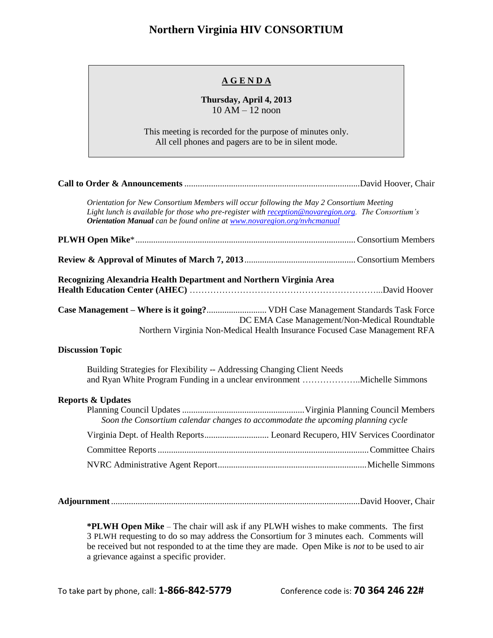## **Northern Virginia HIV CONSORTIUM**

## **A G E N D A**

## **Thursday, April 4, 2013** 10 AM – 12 noon

This meeting is recorded for the purpose of minutes only. All cell phones and pagers are to be in silent mode.

|                              | Orientation for New Consortium Members will occur following the May 2 Consortium Meeting<br>Light lunch is available for those who pre-register with reception@novaregion.org. The Consortium's<br><b>Orientation Manual</b> can be found online at www.novaregion.org/nvhcmanual |                                               |
|------------------------------|-----------------------------------------------------------------------------------------------------------------------------------------------------------------------------------------------------------------------------------------------------------------------------------|-----------------------------------------------|
|                              |                                                                                                                                                                                                                                                                                   |                                               |
|                              |                                                                                                                                                                                                                                                                                   |                                               |
|                              | Recognizing Alexandria Health Department and Northern Virginia Area                                                                                                                                                                                                               |                                               |
|                              | Case Management - Where is it going? VDH Case Management Standards Task Force<br>Northern Virginia Non-Medical Health Insurance Focused Case Management RFA                                                                                                                       | DC EMA Case Management/Non-Medical Roundtable |
| <b>Discussion Topic</b>      |                                                                                                                                                                                                                                                                                   |                                               |
|                              | Building Strategies for Flexibility -- Addressing Changing Client Needs<br>and Ryan White Program Funding in a unclear environment Michelle Simmons                                                                                                                               |                                               |
| <b>Reports &amp; Updates</b> | Soon the Consortium calendar changes to accommodate the upcoming planning cycle                                                                                                                                                                                                   |                                               |
|                              |                                                                                                                                                                                                                                                                                   |                                               |
|                              |                                                                                                                                                                                                                                                                                   |                                               |
|                              |                                                                                                                                                                                                                                                                                   |                                               |
|                              |                                                                                                                                                                                                                                                                                   |                                               |

**\*PLWH Open Mike** – The chair will ask if any PLWH wishes to make comments. The first 3 PLWH requesting to do so may address the Consortium for 3 minutes each. Comments will be received but not responded to at the time they are made. Open Mike is *not* to be used to air a grievance against a specific provider.